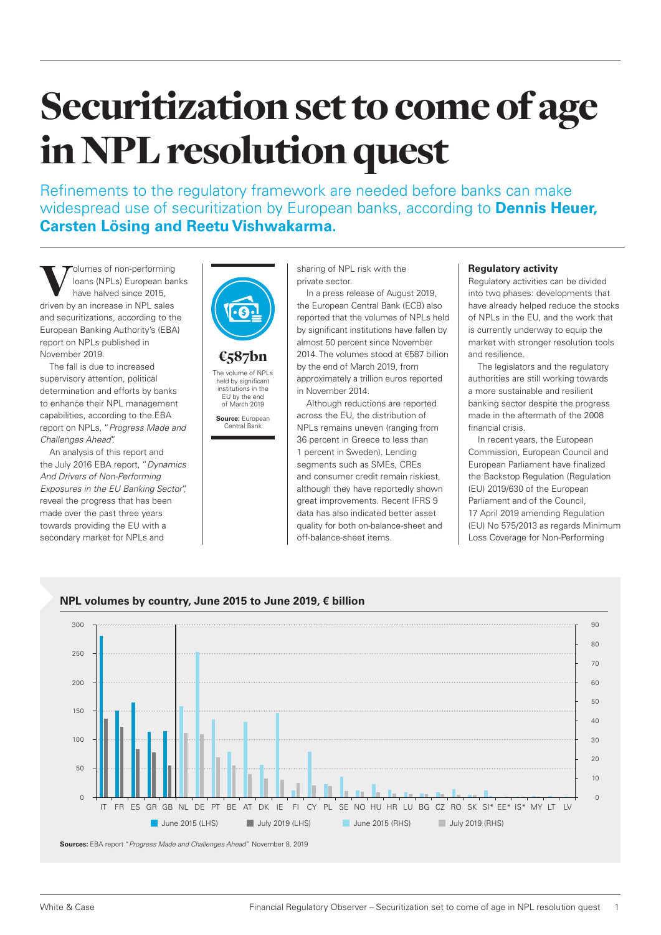# Securitization set to come of age in NPL resolution quest

Refinements to the regulatory framework are needed before banks can make widespread use of securitization by European banks, according to **Dennis Heuer, Carsten Lösing and Reetu Vishwakarma.**

Volumes of non-performing<br>
loans (NPLs) European bar<br>
have halved since 2015,<br>
driven by an increase in NPL sales loans (NPLs) European banks have halved since 2015, and securitizations, according to the European Banking Authority's (EBA) report on NPLs published in November 2019.

The fall is due to increased supervisory attention, political determination and efforts by banks to enhance their NPL management capabilities, according to the EBA report on NPLs, "*Progress Made and Challenges Ahead*".

An analysis of this report and the July 2016 EBA report, "*Dynamics And Drivers of Non-Performing Exposures in the EU Banking Sector*", reveal the progress that has been made over the past three years towards providing the EU with a secondary market for NPLs and



# €587bn

The volume of NPI s held by significant institutions in the EU by the end of March 2019 **Source:** European

Central Bank

sharing of NPL risk with the private sector.

In a press release of August 2019, the European Central Bank (ECB) also reported that the volumes of NPLs held by significant institutions have fallen by almost 50 percent since November 2014. The volumes stood at €587 billion by the end of March 2019, from approximately a trillion euros reported in November 2014.

Although reductions are reported across the EU, the distribution of NPLs remains uneven (ranging from 36 percent in Greece to less than 1 percent in Sweden). Lending segments such as SMEs, CREs and consumer credit remain riskiest, although they have reportedly shown great improvements. Recent IFRS 9 data has also indicated better asset quality for both on-balance-sheet and off-balance-sheet items.

## **Regulatory activity**

Regulatory activities can be divided into two phases: developments that have already helped reduce the stocks of NPLs in the EU, and the work that is currently underway to equip the market with stronger resolution tools and resilience.

The legislators and the regulatory authorities are still working towards a more sustainable and resilient banking sector despite the progress made in the aftermath of the 2008 financial crisis.

In recent years, the European Commission, European Council and European Parliament have finalized the Backstop Regulation (Regulation (EU) 2019/630 of the European Parliament and of the Council, 17 April 2019 amending Regulation (EU) No 575/2013 as regards Minimum Loss Coverage for Non-Performing



# **NPL volumes by country, June 2015 to June 2019, € billion**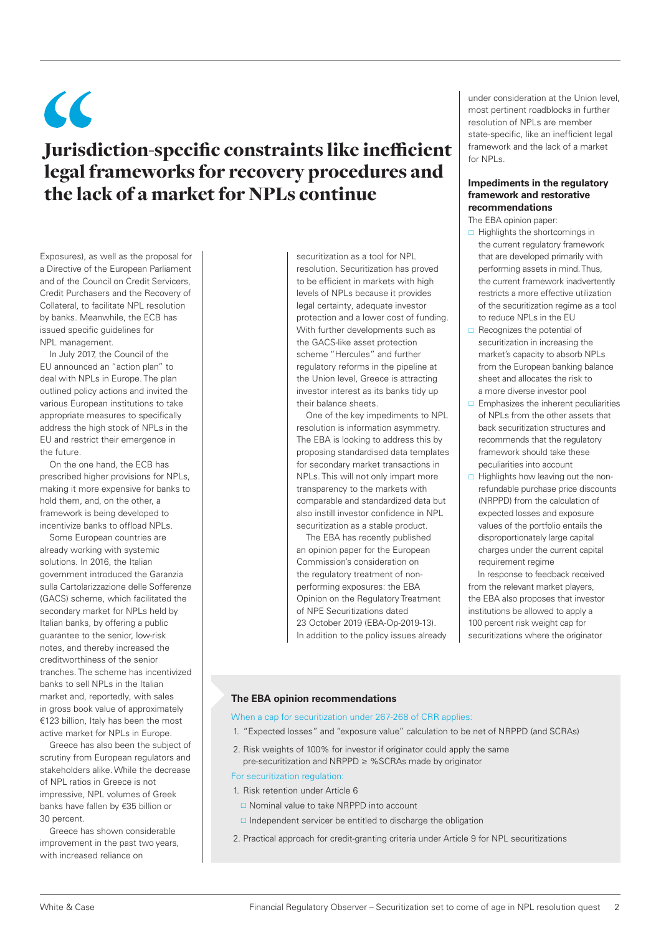$\epsilon$ Jurisdiction-specific constraints like inefficient legal frameworks for recovery procedures and the lack of a market for NPLs continue

Exposures), as well as the proposal for a Directive of the European Parliament and of the Council on Credit Servicers, Credit Purchasers and the Recovery of Collateral, to facilitate NPL resolution by banks. Meanwhile, the ECB has issued specific guidelines for NPL management.

In July 2017, the Council of the EU announced an "action plan" to deal with NPLs in Europe. The plan outlined policy actions and invited the various European institutions to take appropriate measures to specifically address the high stock of NPLs in the EU and restrict their emergence in the future.

On the one hand, the ECB has prescribed higher provisions for NPLs, making it more expensive for banks to hold them, and, on the other, a framework is being developed to incentivize banks to offload NPLs.

Some European countries are already working with systemic solutions. In 2016, the Italian government introduced the Garanzia sulla Cartolarizzazione delle Sofferenze (GACS) scheme, which facilitated the secondary market for NPLs held by Italian banks, by offering a public guarantee to the senior, low-risk notes, and thereby increased the creditworthiness of the senior tranches. The scheme has incentivized banks to sell NPLs in the Italian market and, reportedly, with sales in gross book value of approximately €123 billion, Italy has been the most active market for NPLs in Europe.

Greece has also been the subject of scrutiny from European regulators and stakeholders alike. While the decrease of NPL ratios in Greece is not impressive, NPL volumes of Greek banks have fallen by €35 billion or 30 percent.

Greece has shown considerable improvement in the past two years with increased reliance on

securitization as a tool for NPL resolution. Securitization has proved to be efficient in markets with high levels of NPLs because it provides legal certainty, adequate investor protection and a lower cost of funding. With further developments such as the GACS-like asset protection scheme "Hercules" and further regulatory reforms in the pipeline at the Union level, Greece is attracting investor interest as its banks tidy up their balance sheets.

One of the key impediments to NPL resolution is information asymmetry. The EBA is looking to address this by proposing standardised data templates for secondary market transactions in NPLs. This will not only impart more transparency to the markets with comparable and standardized data but also instill investor confidence in NPL securitization as a stable product.

The EBA has recently published an opinion paper for the European Commission's consideration on the regulatory treatment of nonperforming exposures: the EBA Opinion on the Regulatory Treatment of NPE Securitizations dated 23 October 2019 (EBA-Op-2019-13). In addition to the policy issues already under consideration at the Union level, most pertinent roadblocks in further resolution of NPLs are member state-specific, like an inefficient legal framework and the lack of a market for NPLs.

### **Impediments in the regulatory framework and restorative recommendations**

The EBA opinion paper:

- $\Box$  Highlights the shortcomings in the current regulatory framework that are developed primarily with performing assets in mind. Thus, the current framework inadvertently restricts a more effective utilization of the securitization regime as a tool to reduce NPLs in the EU
- $\Box$  Recognizes the potential of securitization in increasing the market's capacity to absorb NPLs from the European banking balance sheet and allocates the risk to a more diverse investor pool
- $\Box$  Emphasizes the inherent peculiarities of NPLs from the other assets that back securitization structures and recommends that the regulatory framework should take these peculiarities into account
- $\Box$  Highlights how leaving out the nonrefundable purchase price discounts (NRPPD) from the calculation of expected losses and exposure values of the portfolio entails the disproportionately large capital charges under the current capital requirement regime

In response to feedback received from the relevant market players, the EBA also proposes that investor institutions be allowed to apply a 100 percent risk weight cap for securitizations where the originator

#### **The EBA opinion recommendations**

When a cap for securitization under 267-268 of CRR applies:

- 1. "Expected losses" and "exposure value" calculation to be net of NRPPD (and SCRAs)
- 2. Risk weights of 100% for investor if originator could apply the same pre-securitization and NRPPD ≥ %SCRAs made by originator

For securitization regulation:

- 1. Risk retention under Article 6
	- □ Nominal value to take NRPPD into account
	- $\Box$  Independent servicer be entitled to discharge the obligation
- 2. Practical approach for credit-granting criteria under Article 9 for NPL securitizations